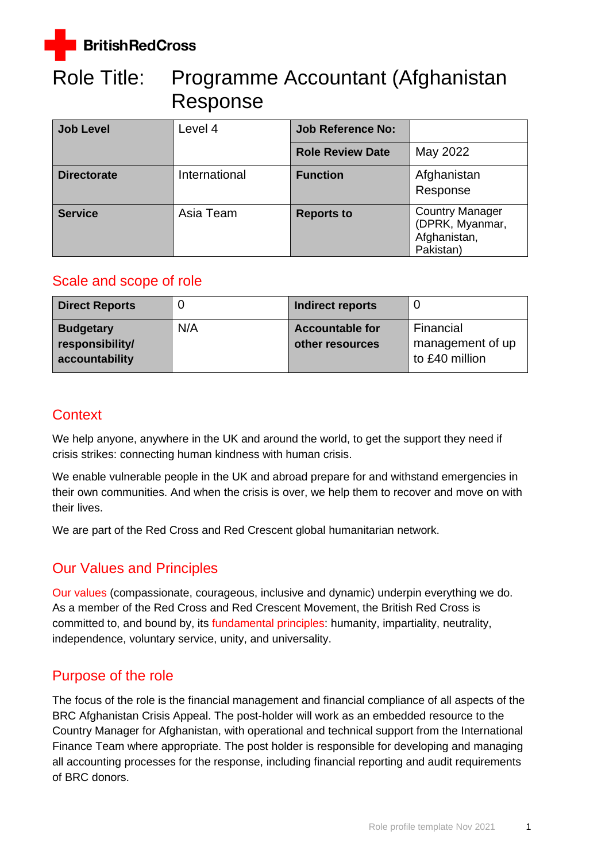

# Role Title: Programme Accountant (Afghanistan Response

| <b>Job Level</b>   | Level 4       | <b>Job Reference No:</b> |                                                                        |
|--------------------|---------------|--------------------------|------------------------------------------------------------------------|
|                    |               | <b>Role Review Date</b>  | May 2022                                                               |
| <b>Directorate</b> | International | <b>Function</b>          | Afghanistan<br>Response                                                |
| <b>Service</b>     | Asia Team     | <b>Reports to</b>        | <b>Country Manager</b><br>(DPRK, Myanmar,<br>Afghanistan,<br>Pakistan) |

## Scale and scope of role

| <b>Direct Reports</b>                                 |     | Indirect reports                          |                                                 |
|-------------------------------------------------------|-----|-------------------------------------------|-------------------------------------------------|
| <b>Budgetary</b><br>responsibility/<br>accountability | N/A | <b>Accountable for</b><br>other resources | Financial<br>management of up<br>to £40 million |

## **Context**

We help anyone, anywhere in the UK and around the world, to get the support they need if crisis strikes: connecting human kindness with human crisis.

We enable vulnerable people in the UK and abroad prepare for and withstand emergencies in their own communities. And when the crisis is over, we help them to recover and move on with their lives.

We are part of the Red Cross and Red Crescent global humanitarian network.

## Our Values and Principles

[Our values](http://www.redcross.org.uk/About-us/Who-we-are/Our-values) (compassionate, courageous, inclusive and dynamic) underpin everything we do. As a member of the Red Cross and Red Crescent Movement, the British Red Cross is committed to, and bound by, its [fundamental principles:](http://www.redcross.org.uk/principles) humanity, impartiality, neutrality, independence, voluntary service, unity, and universality.

## Purpose of the role

The focus of the role is the financial management and financial compliance of all aspects of the BRC Afghanistan Crisis Appeal. The post-holder will work as an embedded resource to the Country Manager for Afghanistan, with operational and technical support from the International Finance Team where appropriate. The post holder is responsible for developing and managing all accounting processes for the response, including financial reporting and audit requirements of BRC donors.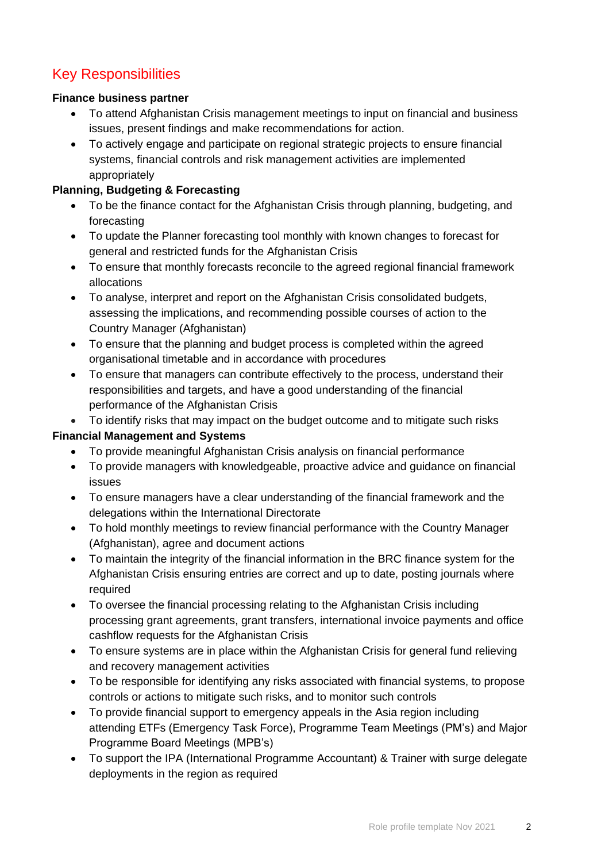## Key Responsibilities

#### **Finance business partner**

- To attend Afghanistan Crisis management meetings to input on financial and business issues, present findings and make recommendations for action.
- To actively engage and participate on regional strategic projects to ensure financial systems, financial controls and risk management activities are implemented appropriately

#### **Planning, Budgeting & Forecasting**

- To be the finance contact for the Afghanistan Crisis through planning, budgeting, and forecasting
- To update the Planner forecasting tool monthly with known changes to forecast for general and restricted funds for the Afghanistan Crisis
- To ensure that monthly forecasts reconcile to the agreed regional financial framework allocations
- To analyse, interpret and report on the Afghanistan Crisis consolidated budgets, assessing the implications, and recommending possible courses of action to the Country Manager (Afghanistan)
- To ensure that the planning and budget process is completed within the agreed organisational timetable and in accordance with procedures
- To ensure that managers can contribute effectively to the process, understand their responsibilities and targets, and have a good understanding of the financial performance of the Afghanistan Crisis
- To identify risks that may impact on the budget outcome and to mitigate such risks **Financial Management and Systems**
	- To provide meaningful Afghanistan Crisis analysis on financial performance
	- To provide managers with knowledgeable, proactive advice and guidance on financial issues
	- To ensure managers have a clear understanding of the financial framework and the delegations within the International Directorate
	- To hold monthly meetings to review financial performance with the Country Manager (Afghanistan), agree and document actions
	- To maintain the integrity of the financial information in the BRC finance system for the Afghanistan Crisis ensuring entries are correct and up to date, posting journals where required
	- To oversee the financial processing relating to the Afghanistan Crisis including processing grant agreements, grant transfers, international invoice payments and office cashflow requests for the Afghanistan Crisis
	- To ensure systems are in place within the Afghanistan Crisis for general fund relieving and recovery management activities
	- To be responsible for identifying any risks associated with financial systems, to propose controls or actions to mitigate such risks, and to monitor such controls
	- To provide financial support to emergency appeals in the Asia region including attending ETFs (Emergency Task Force), Programme Team Meetings (PM's) and Major Programme Board Meetings (MPB's)
	- To support the IPA (International Programme Accountant) & Trainer with surge delegate deployments in the region as required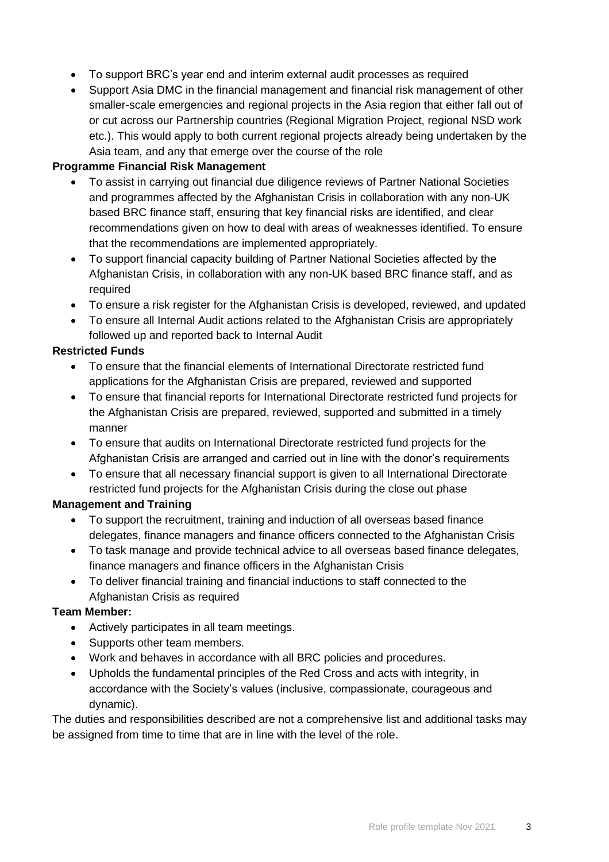- To support BRC's year end and interim external audit processes as required
- Support Asia DMC in the financial management and financial risk management of other smaller-scale emergencies and regional projects in the Asia region that either fall out of or cut across our Partnership countries (Regional Migration Project, regional NSD work etc.). This would apply to both current regional projects already being undertaken by the Asia team, and any that emerge over the course of the role

#### **Programme Financial Risk Management**

- To assist in carrying out financial due diligence reviews of Partner National Societies and programmes affected by the Afghanistan Crisis in collaboration with any non-UK based BRC finance staff, ensuring that key financial risks are identified, and clear recommendations given on how to deal with areas of weaknesses identified. To ensure that the recommendations are implemented appropriately.
- To support financial capacity building of Partner National Societies affected by the Afghanistan Crisis, in collaboration with any non-UK based BRC finance staff, and as required
- To ensure a risk register for the Afghanistan Crisis is developed, reviewed, and updated
- To ensure all Internal Audit actions related to the Afghanistan Crisis are appropriately followed up and reported back to Internal Audit

#### **Restricted Funds**

- To ensure that the financial elements of International Directorate restricted fund applications for the Afghanistan Crisis are prepared, reviewed and supported
- To ensure that financial reports for International Directorate restricted fund projects for the Afghanistan Crisis are prepared, reviewed, supported and submitted in a timely manner
- To ensure that audits on International Directorate restricted fund projects for the Afghanistan Crisis are arranged and carried out in line with the donor's requirements
- To ensure that all necessary financial support is given to all International Directorate restricted fund projects for the Afghanistan Crisis during the close out phase

#### **Management and Training**

- To support the recruitment, training and induction of all overseas based finance delegates, finance managers and finance officers connected to the Afghanistan Crisis
- To task manage and provide technical advice to all overseas based finance delegates, finance managers and finance officers in the Afghanistan Crisis
- To deliver financial training and financial inductions to staff connected to the Afghanistan Crisis as required

#### **Team Member:**

- Actively participates in all team meetings.
- Supports other team members.
- Work and behaves in accordance with all BRC policies and procedures.
- Upholds the fundamental principles of the Red Cross and acts with integrity, in accordance with the Society's values (inclusive, compassionate, courageous and dynamic).

The duties and responsibilities described are not a comprehensive list and additional tasks may be assigned from time to time that are in line with the level of the role.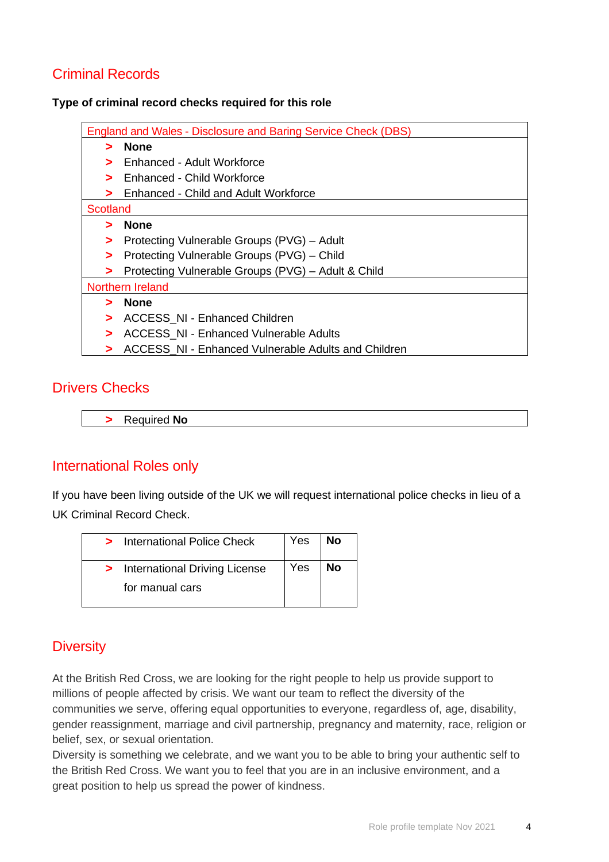## Criminal Records

**Type of criminal record checks required for this role** 

| <b>England and Wales - Disclosure and Baring Service Check (DBS)</b>        |
|-----------------------------------------------------------------------------|
| <b>None</b>                                                                 |
| Enhanced - Adult Workforce<br>>                                             |
| Enhanced - Child Workforce                                                  |
| Enhanced - Child and Adult Workforce                                        |
| Scotland                                                                    |
| <b>None</b><br>$\blacktriangleright$                                        |
| Protecting Vulnerable Groups (PVG) - Adult<br>⋗                             |
| Protecting Vulnerable Groups (PVG) – Child<br>>                             |
| Protecting Vulnerable Groups (PVG) - Adult & Child<br>$\blacktriangleright$ |
| <b>Northern Ireland</b>                                                     |
| <b>None</b>                                                                 |
| <b>ACCESS_NI - Enhanced Children</b><br>>                                   |
| <b>ACCESS NI - Enhanced Vulnerable Adults</b><br>>                          |
| ACCESS NI - Enhanced Vulnerable Adults and Children<br>⋗                    |
|                                                                             |

### Drivers Checks

**>** Required **No**

### International Roles only

If you have been living outside of the UK we will request international police checks in lieu of a UK Criminal Record Check.

| > International Police Check    | Yes | No |
|---------------------------------|-----|----|
| > International Driving License | Yes | No |
| for manual cars                 |     |    |

## **Diversity**

At the British Red Cross, we are looking for the right people to help us provide support to millions of people affected by crisis. We want our team to reflect the diversity of the communities we serve, offering equal opportunities to everyone, regardless of, age, disability, gender reassignment, marriage and civil partnership, pregnancy and maternity, race, religion or belief, sex, or sexual orientation.

Diversity is something we celebrate, and we want you to be able to bring your authentic self to the British Red Cross. We want you to feel that you are in an inclusive environment, and a great position to help us spread the power of kindness.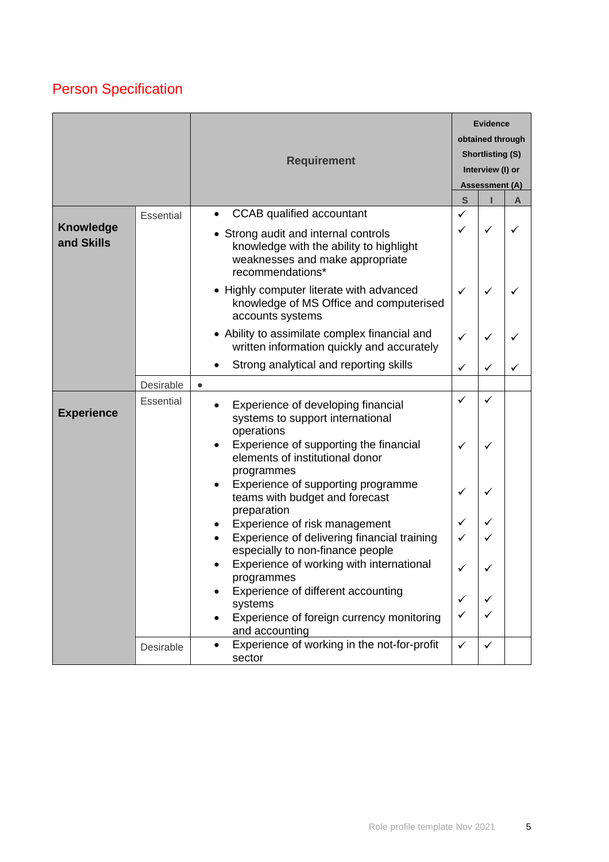# Person Specification

|                                |           | <b>Requirement</b>                                                                                                                                                         |                   | <b>Evidence</b><br>obtained through<br><b>Shortlisting (S)</b><br>Interview (I) or<br><b>Assessment (A)</b> |   |
|--------------------------------|-----------|----------------------------------------------------------------------------------------------------------------------------------------------------------------------------|-------------------|-------------------------------------------------------------------------------------------------------------|---|
|                                |           |                                                                                                                                                                            | $\mathbf{s}$      |                                                                                                             | A |
| <b>Knowledge</b><br>and Skills | Essential | <b>CCAB</b> qualified accountant<br>• Strong audit and internal controls<br>knowledge with the ability to highlight<br>weaknesses and make appropriate<br>recommendations* | $\checkmark$<br>✓ | ✓                                                                                                           |   |
|                                |           | • Highly computer literate with advanced<br>knowledge of MS Office and computerised<br>accounts systems                                                                    | $\checkmark$      | ✓                                                                                                           |   |
|                                |           | • Ability to assimilate complex financial and<br>written information quickly and accurately                                                                                | $\checkmark$      | ✓                                                                                                           |   |
|                                |           | Strong analytical and reporting skills                                                                                                                                     | ✓                 | ✓                                                                                                           |   |
|                                | Desirable | $\bullet$                                                                                                                                                                  |                   |                                                                                                             |   |
| <b>Experience</b>              | Essential | Experience of developing financial<br>systems to support international<br>operations<br>Experience of supporting the financial                                             | ✓<br>✓            | ✓<br>✓                                                                                                      |   |
|                                |           | elements of institutional donor<br>programmes<br>Experience of supporting programme<br>teams with budget and forecast<br>preparation                                       | ✓                 | ✓                                                                                                           |   |
|                                |           | Experience of risk management                                                                                                                                              | ✓                 | ✓                                                                                                           |   |
|                                |           | Experience of delivering financial training<br>especially to non-finance people                                                                                            | $\checkmark$      | $\checkmark$                                                                                                |   |
|                                |           | Experience of working with international<br>programmes                                                                                                                     |                   |                                                                                                             |   |
|                                |           | Experience of different accounting                                                                                                                                         | $\checkmark$      | $\checkmark$                                                                                                |   |
|                                |           | systems<br>Experience of foreign currency monitoring<br>and accounting                                                                                                     | $\checkmark$      | ✓                                                                                                           |   |
|                                | Desirable | Experience of working in the not-for-profit<br>sector                                                                                                                      | $\checkmark$      | ✓                                                                                                           |   |